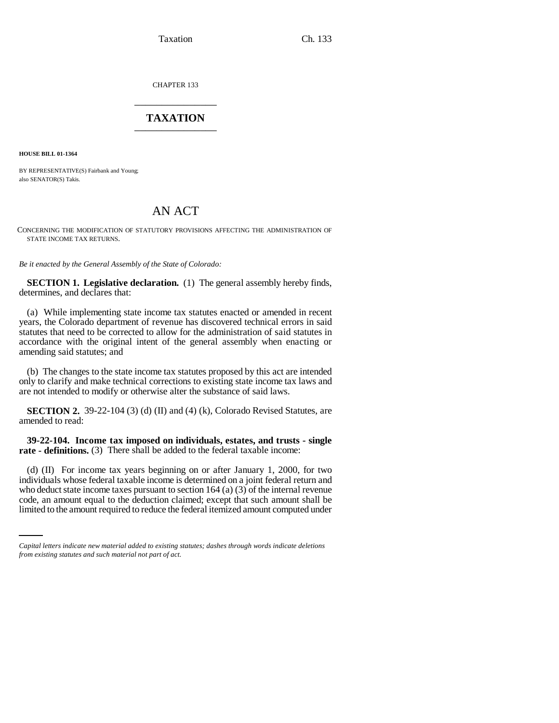Taxation Ch. 133

CHAPTER 133 \_\_\_\_\_\_\_\_\_\_\_\_\_\_\_

# **TAXATION** \_\_\_\_\_\_\_\_\_\_\_\_\_\_\_

**HOUSE BILL 01-1364**

BY REPRESENTATIVE(S) Fairbank and Young; also SENATOR(S) Takis.

# AN ACT

CONCERNING THE MODIFICATION OF STATUTORY PROVISIONS AFFECTING THE ADMINISTRATION OF STATE INCOME TAX RETURNS.

*Be it enacted by the General Assembly of the State of Colorado:*

**SECTION 1. Legislative declaration.** (1) The general assembly hereby finds, determines, and declares that:

(a) While implementing state income tax statutes enacted or amended in recent years, the Colorado department of revenue has discovered technical errors in said statutes that need to be corrected to allow for the administration of said statutes in accordance with the original intent of the general assembly when enacting or amending said statutes; and

(b) The changes to the state income tax statutes proposed by this act are intended only to clarify and make technical corrections to existing state income tax laws and are not intended to modify or otherwise alter the substance of said laws.

**SECTION 2.** 39-22-104 (3) (d) (II) and (4) (k), Colorado Revised Statutes, are amended to read:

**39-22-104. Income tax imposed on individuals, estates, and trusts - single rate - definitions.** (3) There shall be added to the federal taxable income:

who deduct state income taxes pursuant to section  $164$  (a) (3) of the internal revenue (d) (II) For income tax years beginning on or after January 1, 2000, for two individuals whose federal taxable income is determined on a joint federal return and code, an amount equal to the deduction claimed; except that such amount shall be limited to the amount required to reduce the federal itemized amount computed under

*Capital letters indicate new material added to existing statutes; dashes through words indicate deletions from existing statutes and such material not part of act.*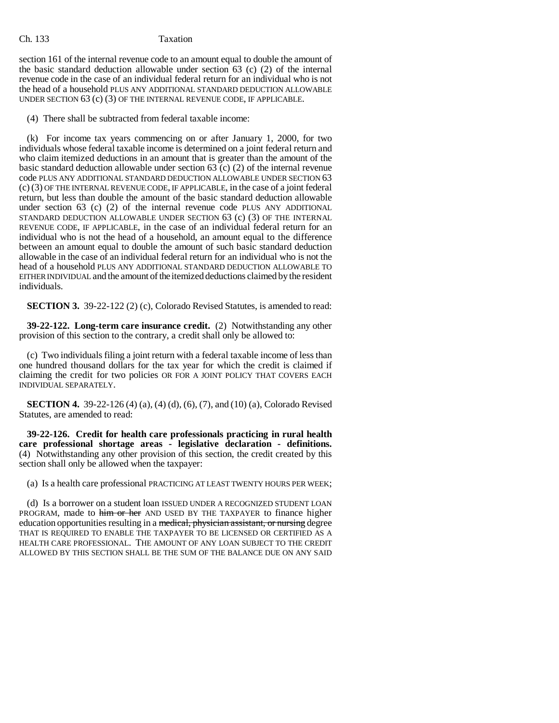### Ch. 133 Taxation

section 161 of the internal revenue code to an amount equal to double the amount of the basic standard deduction allowable under section 63 (c) (2) of the internal revenue code in the case of an individual federal return for an individual who is not the head of a household PLUS ANY ADDITIONAL STANDARD DEDUCTION ALLOWABLE UNDER SECTION 63 (c) (3) OF THE INTERNAL REVENUE CODE, IF APPLICABLE.

(4) There shall be subtracted from federal taxable income:

(k) For income tax years commencing on or after January 1, 2000, for two individuals whose federal taxable income is determined on a joint federal return and who claim itemized deductions in an amount that is greater than the amount of the basic standard deduction allowable under section 63 (c) (2) of the internal revenue code PLUS ANY ADDITIONAL STANDARD DEDUCTION ALLOWABLE UNDER SECTION 63 (c) (3) OF THE INTERNAL REVENUE CODE, IF APPLICABLE, in the case of a joint federal return, but less than double the amount of the basic standard deduction allowable under section 63 (c) (2) of the internal revenue code PLUS ANY ADDITIONAL STANDARD DEDUCTION ALLOWABLE UNDER SECTION 63 (c) (3) OF THE INTERNAL REVENUE CODE, IF APPLICABLE, in the case of an individual federal return for an individual who is not the head of a household, an amount equal to the difference between an amount equal to double the amount of such basic standard deduction allowable in the case of an individual federal return for an individual who is not the head of a household PLUS ANY ADDITIONAL STANDARD DEDUCTION ALLOWABLE TO EITHER INDIVIDUAL and the amount of the itemized deductions claimed by the resident individuals.

**SECTION 3.** 39-22-122 (2) (c), Colorado Revised Statutes, is amended to read:

**39-22-122. Long-term care insurance credit.** (2) Notwithstanding any other provision of this section to the contrary, a credit shall only be allowed to:

(c) Two individuals filing a joint return with a federal taxable income of less than one hundred thousand dollars for the tax year for which the credit is claimed if claiming the credit for two policies OR FOR A JOINT POLICY THAT COVERS EACH INDIVIDUAL SEPARATELY.

**SECTION 4.** 39-22-126 (4) (a), (4) (d), (6), (7), and (10) (a), Colorado Revised Statutes, are amended to read:

**39-22-126. Credit for health care professionals practicing in rural health care professional shortage areas - legislative declaration - definitions.** (4) Notwithstanding any other provision of this section, the credit created by this section shall only be allowed when the taxpayer:

(a) Is a health care professional PRACTICING AT LEAST TWENTY HOURS PER WEEK;

(d) Is a borrower on a student loan ISSUED UNDER A RECOGNIZED STUDENT LOAN PROGRAM, made to him or her AND USED BY THE TAXPAYER to finance higher education opportunities resulting in a medical, physician assistant, or nursing degree THAT IS REQUIRED TO ENABLE THE TAXPAYER TO BE LICENSED OR CERTIFIED AS A HEALTH CARE PROFESSIONAL. THE AMOUNT OF ANY LOAN SUBJECT TO THE CREDIT ALLOWED BY THIS SECTION SHALL BE THE SUM OF THE BALANCE DUE ON ANY SAID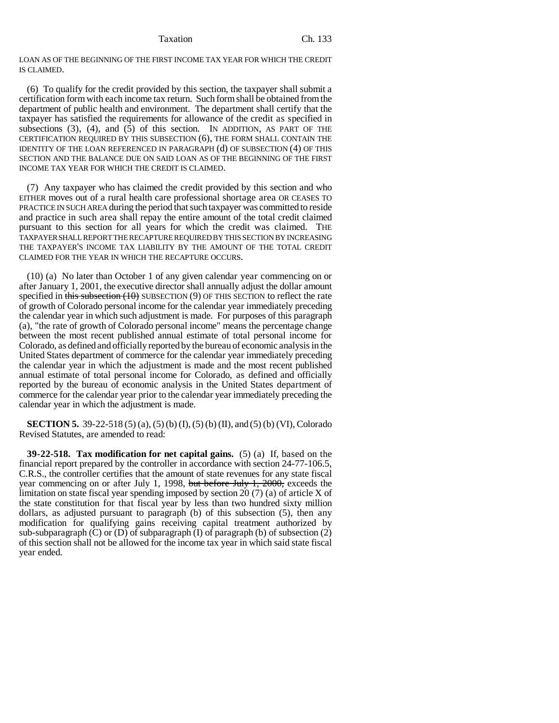Taxation Ch. 133

LOAN AS OF THE BEGINNING OF THE FIRST INCOME TAX YEAR FOR WHICH THE CREDIT IS CLAIMED.

(6) To qualify for the credit provided by this section, the taxpayer shall submit a certification form with each income tax return. Such form shall be obtained from the department of public health and environment. The department shall certify that the taxpayer has satisfied the requirements for allowance of the credit as specified in subsections  $(3)$ ,  $(4)$ , and  $(5)$  of this section. IN ADDITION, AS PART OF THE CERTIFICATION REQUIRED BY THIS SUBSECTION (6), THE FORM SHALL CONTAIN THE IDENTITY OF THE LOAN REFERENCED IN PARAGRAPH (d) OF SUBSECTION (4) OF THIS SECTION AND THE BALANCE DUE ON SAID LOAN AS OF THE BEGINNING OF THE FIRST INCOME TAX YEAR FOR WHICH THE CREDIT IS CLAIMED.

(7) Any taxpayer who has claimed the credit provided by this section and who EITHER moves out of a rural health care professional shortage area OR CEASES TO PRACTICE IN SUCH AREA during the period that such taxpayer was committed to reside and practice in such area shall repay the entire amount of the total credit claimed pursuant to this section for all years for which the credit was claimed. THE TAXPAYER SHALL REPORT THE RECAPTURE REQUIRED BY THIS SECTION BY INCREASING THE TAXPAYER'S INCOME TAX LIABILITY BY THE AMOUNT OF THE TOTAL CREDIT CLAIMED FOR THE YEAR IN WHICH THE RECAPTURE OCCURS.

(10) (a) No later than October 1 of any given calendar year commencing on or after January 1, 2001, the executive director shall annually adjust the dollar amount specified in this subsection  $(10)$  SUBSECTION  $(9)$  OF THIS SECTION to reflect the rate of growth of Colorado personal income for the calendar year immediately preceding the calendar year in which such adjustment is made. For purposes of this paragraph (a), "the rate of growth of Colorado personal income" means the percentage change between the most recent published annual estimate of total personal income for Colorado, as defined and officially reported by the bureau of economic analysis in the United States department of commerce for the calendar year immediately preceding the calendar year in which the adjustment is made and the most recent published annual estimate of total personal income for Colorado, as defined and officially reported by the bureau of economic analysis in the United States department of commerce for the calendar year prior to the calendar year immediately preceding the calendar year in which the adjustment is made.

**SECTION 5.** 39-22-518 (5) (a), (5) (b) (I), (5) (b) (II), and (5) (b) (VI), Colorado Revised Statutes, are amended to read:

**39-22-518. Tax modification for net capital gains.** (5) (a) If, based on the financial report prepared by the controller in accordance with section 24-77-106.5, C.R.S., the controller certifies that the amount of state revenues for any state fiscal year commencing on or after July 1, 1998, but before July 1, 2000, exceeds the limitation on state fiscal year spending imposed by section 20 (7) (a) of article X of the state constitution for that fiscal year by less than two hundred sixty million dollars, as adjusted pursuant to paragraph (b) of this subsection (5), then any modification for qualifying gains receiving capital treatment authorized by sub-subparagraph  $(C)$  or  $(D)$  of subparagraph  $(I)$  of paragraph  $(b)$  of subsection  $(2)$ of this section shall not be allowed for the income tax year in which said state fiscal year ended.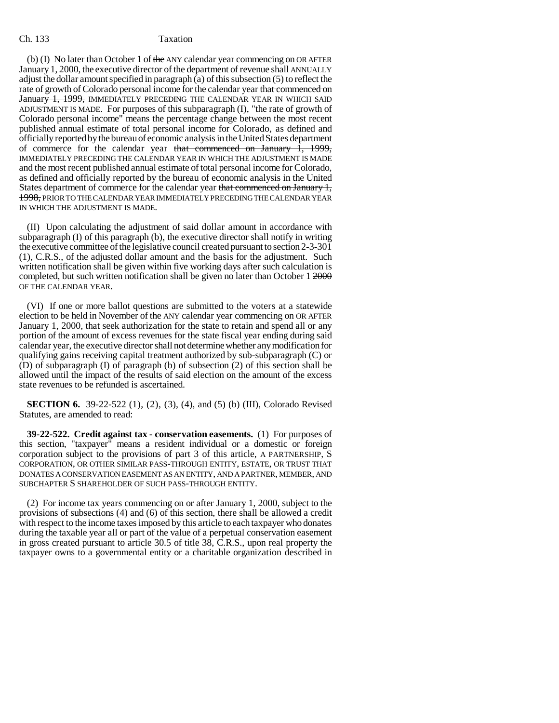#### Ch. 133 Taxation

(b) (I) No later than October 1 of the ANY calendar year commencing on OR AFTER January 1, 2000, the executive director of the department of revenue shall ANNUALLY adjust the dollar amount specified in paragraph (a) of this subsection (5) to reflect the rate of growth of Colorado personal income for the calendar year that commenced on January 1, 1999, IMMEDIATELY PRECEDING THE CALENDAR YEAR IN WHICH SAID ADJUSTMENT IS MADE. For purposes of this subparagraph (I), "the rate of growth of Colorado personal income" means the percentage change between the most recent published annual estimate of total personal income for Colorado, as defined and officially reported by the bureau of economic analysis in the United States department of commerce for the calendar year that commenced on January 1, 1999, IMMEDIATELY PRECEDING THE CALENDAR YEAR IN WHICH THE ADJUSTMENT IS MADE and the most recent published annual estimate of total personal income for Colorado, as defined and officially reported by the bureau of economic analysis in the United States department of commerce for the calendar year that commenced on January 1, 1998, PRIOR TO THE CALENDAR YEAR IMMEDIATELY PRECEDING THE CALENDAR YEAR IN WHICH THE ADJUSTMENT IS MADE.

(II) Upon calculating the adjustment of said dollar amount in accordance with subparagraph (I) of this paragraph (b), the executive director shall notify in writing the executive committee of the legislative council created pursuant to section 2-3-301 (1), C.R.S., of the adjusted dollar amount and the basis for the adjustment. Such written notification shall be given within five working days after such calculation is completed, but such written notification shall be given no later than October 1 2000 OF THE CALENDAR YEAR.

(VI) If one or more ballot questions are submitted to the voters at a statewide election to be held in November of the ANY calendar year commencing on OR AFTER January 1, 2000, that seek authorization for the state to retain and spend all or any portion of the amount of excess revenues for the state fiscal year ending during said calendar year, the executive director shall not determine whether any modification for qualifying gains receiving capital treatment authorized by sub-subparagraph (C) or (D) of subparagraph (I) of paragraph (b) of subsection (2) of this section shall be allowed until the impact of the results of said election on the amount of the excess state revenues to be refunded is ascertained.

**SECTION 6.** 39-22-522 (1), (2), (3), (4), and (5) (b) (III), Colorado Revised Statutes, are amended to read:

**39-22-522. Credit against tax - conservation easements.** (1) For purposes of this section, "taxpayer" means a resident individual or a domestic or foreign corporation subject to the provisions of part 3 of this article, A PARTNERSHIP, S CORPORATION, OR OTHER SIMILAR PASS-THROUGH ENTITY, ESTATE, OR TRUST THAT DONATES A CONSERVATION EASEMENT AS AN ENTITY, AND A PARTNER, MEMBER, AND SUBCHAPTER S SHAREHOLDER OF SUCH PASS-THROUGH ENTITY.

(2) For income tax years commencing on or after January 1, 2000, subject to the provisions of subsections (4) and (6) of this section, there shall be allowed a credit with respect to the income taxes imposed by this article to each taxpayer who donates during the taxable year all or part of the value of a perpetual conservation easement in gross created pursuant to article 30.5 of title 38, C.R.S., upon real property the taxpayer owns to a governmental entity or a charitable organization described in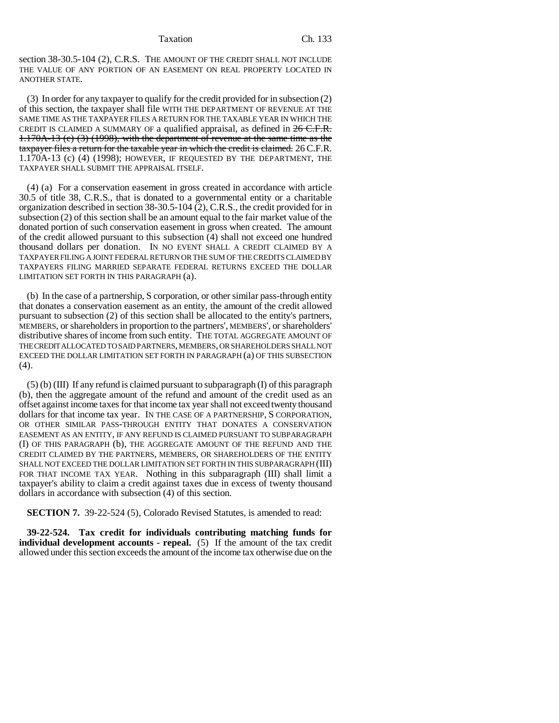#### Taxation Ch. 133

section 38-30.5-104 (2), C.R.S. THE AMOUNT OF THE CREDIT SHALL NOT INCLUDE THE VALUE OF ANY PORTION OF AN EASEMENT ON REAL PROPERTY LOCATED IN ANOTHER STATE.

(3) In order for any taxpayer to qualify for the credit provided for in subsection (2) of this section, the taxpayer shall file WITH THE DEPARTMENT OF REVENUE AT THE SAME TIME AS THE TAXPAYER FILES A RETURN FOR THE TAXABLE YEAR IN WHICH THE CREDIT IS CLAIMED A SUMMARY OF a qualified appraisal, as defined in  $26$  C.F.R. 1.170A-13 (c) (3) (1998), with the department of revenue at the same time as the taxpayer files a return for the taxable year in which the credit is claimed. 26 C.F.R. 1.170A-13 (c) (4) (1998); HOWEVER, IF REQUESTED BY THE DEPARTMENT, THE TAXPAYER SHALL SUBMIT THE APPRAISAL ITSELF.

(4) (a) For a conservation easement in gross created in accordance with article 30.5 of title 38, C.R.S., that is donated to a governmental entity or a charitable organization described in section 38-30.5-104 (2), C.R.S., the credit provided for in subsection (2) of this section shall be an amount equal to the fair market value of the donated portion of such conservation easement in gross when created. The amount of the credit allowed pursuant to this subsection  $\overline{4}$ ) shall not exceed one hundred thousand dollars per donation. IN NO EVENT SHALL A CREDIT CLAIMED BY A TAXPAYER FILING A JOINT FEDERAL RETURN OR THE SUM OF THE CREDITS CLAIMED BY TAXPAYERS FILING MARRIED SEPARATE FEDERAL RETURNS EXCEED THE DOLLAR LIMITATION SET FORTH IN THIS PARAGRAPH (a).

(b) In the case of a partnership, S corporation, or other similar pass-through entity that donates a conservation easement as an entity, the amount of the credit allowed pursuant to subsection (2) of this section shall be allocated to the entity's partners, MEMBERS, or shareholders in proportion to the partners', MEMBERS', or shareholders' distributive shares of income from such entity. THE TOTAL AGGREGATE AMOUNT OF THE CREDIT ALLOCATED TO SAID PARTNERS, MEMBERS, OR SHAREHOLDERS SHALL NOT EXCEED THE DOLLAR LIMITATION SET FORTH IN PARAGRAPH (a) OF THIS SUBSECTION (4).

 $(5)$  (b) (III) If any refund is claimed pursuant to subparagraph (I) of this paragraph (b), then the aggregate amount of the refund and amount of the credit used as an offset against income taxes for that income tax year shall not exceed twenty thousand dollars for that income tax year. IN THE CASE OF A PARTNERSHIP, S CORPORATION, OR OTHER SIMILAR PASS-THROUGH ENTITY THAT DONATES A CONSERVATION EASEMENT AS AN ENTITY, IF ANY REFUND IS CLAIMED PURSUANT TO SUBPARAGRAPH (I) OF THIS PARAGRAPH (b), THE AGGREGATE AMOUNT OF THE REFUND AND THE CREDIT CLAIMED BY THE PARTNERS, MEMBERS, OR SHAREHOLDERS OF THE ENTITY SHALL NOT EXCEED THE DOLLAR LIMITATION SET FORTH IN THIS SUBPARAGRAPH (III) FOR THAT INCOME TAX YEAR. Nothing in this subparagraph (III) shall limit a taxpayer's ability to claim a credit against taxes due in excess of twenty thousand dollars in accordance with subsection (4) of this section.

**SECTION 7.** 39-22-524 (5), Colorado Revised Statutes, is amended to read:

**39-22-524. Tax credit for individuals contributing matching funds for individual development accounts - repeal.** (5) If the amount of the tax credit allowed under this section exceeds the amount of the income tax otherwise due on the